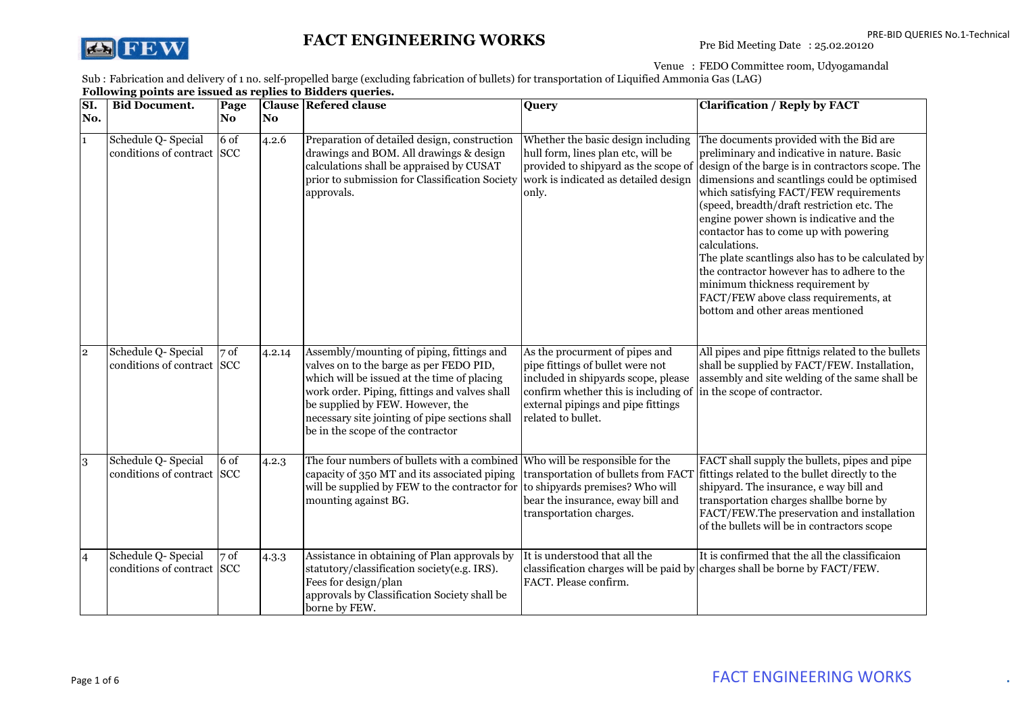

## FACT ENGINEERING WORKS

Venue : FEDO Committee room, Udyogamandal

Sub : Fabrication and delivery of 1 no. self-propelled barge (exclud<br>**Following points are issued as replies to Bidders queries.** Fabrication and delivery of 1 no. self-propelled barge (excluding fabrication of bullets) for transportation of Liquified Ammonia Gas (LAG)

| SI.            | <b>Bid Document.</b>                              | Page   |        | <b>Clause Refered clause</b>                                                                                                                                                                                                                                                                                    | Query                                                                                                                                                                                                         | <b>Clarification / Reply by FACT</b>                                                                                                                                                                                                                                                                                                                                                                                                                                                                                                                                                                           |
|----------------|---------------------------------------------------|--------|--------|-----------------------------------------------------------------------------------------------------------------------------------------------------------------------------------------------------------------------------------------------------------------------------------------------------------------|---------------------------------------------------------------------------------------------------------------------------------------------------------------------------------------------------------------|----------------------------------------------------------------------------------------------------------------------------------------------------------------------------------------------------------------------------------------------------------------------------------------------------------------------------------------------------------------------------------------------------------------------------------------------------------------------------------------------------------------------------------------------------------------------------------------------------------------|
| No.            |                                                   | No.    | No.    |                                                                                                                                                                                                                                                                                                                 |                                                                                                                                                                                                               |                                                                                                                                                                                                                                                                                                                                                                                                                                                                                                                                                                                                                |
|                | Schedule Q- Special<br>conditions of contract SCC | $6$ of | 4.2.6  | Preparation of detailed design, construction<br>drawings and BOM. All drawings & design<br>calculations shall be appraised by CUSAT<br>prior to submission for Classification Society work is indicated as detailed design<br>approvals.                                                                        | Whether the basic design including<br>hull form, lines plan etc, will be<br>provided to shipyard as the scope of<br>only.                                                                                     | The documents provided with the Bid are<br>preliminary and indicative in nature. Basic<br>design of the barge is in contractors scope. The<br>dimensions and scantlings could be optimised<br>which satisfying FACT/FEW requirements<br>(speed, breadth/draft restriction etc. The<br>engine power shown is indicative and the<br>contactor has to come up with powering<br>calculations.<br>The plate scantlings also has to be calculated by<br>the contractor however has to adhere to the<br>minimum thickness requirement by<br>FACT/FEW above class requirements, at<br>bottom and other areas mentioned |
| $\overline{2}$ | Schedule Q- Special<br>conditions of contract SCC | 7 of   | 4.2.14 | Assembly/mounting of piping, fittings and<br>valves on to the barge as per FEDO PID,<br>which will be issued at the time of placing<br>work order. Piping, fittings and valves shall<br>be supplied by FEW. However, the<br>necessary site jointing of pipe sections shall<br>be in the scope of the contractor | As the procurment of pipes and<br>pipe fittings of bullet were not<br>included in shipyards scope, please<br>confirm whether this is including of<br>external pipings and pipe fittings<br>related to bullet. | All pipes and pipe fittnigs related to the bullets<br>shall be supplied by FACT/FEW. Installation,<br>assembly and site welding of the same shall be<br>in the scope of contractor.                                                                                                                                                                                                                                                                                                                                                                                                                            |
| 3              | Schedule Q- Special<br>conditions of contract SCC | 6 of   | 4.2.3  | The four numbers of bullets with a combined<br>capacity of 350 MT and its associated piping<br>will be supplied by FEW to the contractor for to shipyards premises? Who will<br>mounting against BG.                                                                                                            | Who will be responsible for the<br>transportation of bullets from FACT<br>bear the insurance, eway bill and<br>transportation charges.                                                                        | FACT shall supply the bullets, pipes and pipe<br>fittings related to the bullet directly to the<br>shipyard. The insurance, e way bill and<br>transportation charges shallbe borne by<br>FACT/FEW.The preservation and installation<br>of the bullets will be in contractors scope                                                                                                                                                                                                                                                                                                                             |
| $\overline{4}$ | Schedule Q- Special<br>conditions of contract SCC | 7 of   | 4.3.3  | Assistance in obtaining of Plan approvals by<br>statutory/classification society(e.g. IRS).<br>Fees for design/plan<br>approvals by Classification Society shall be<br>borne by FEW.                                                                                                                            | It is understood that all the<br>classification charges will be paid by<br>FACT. Please confirm.                                                                                                              | It is confirmed that the all the classificaion<br>charges shall be borne by FACT/FEW.                                                                                                                                                                                                                                                                                                                                                                                                                                                                                                                          |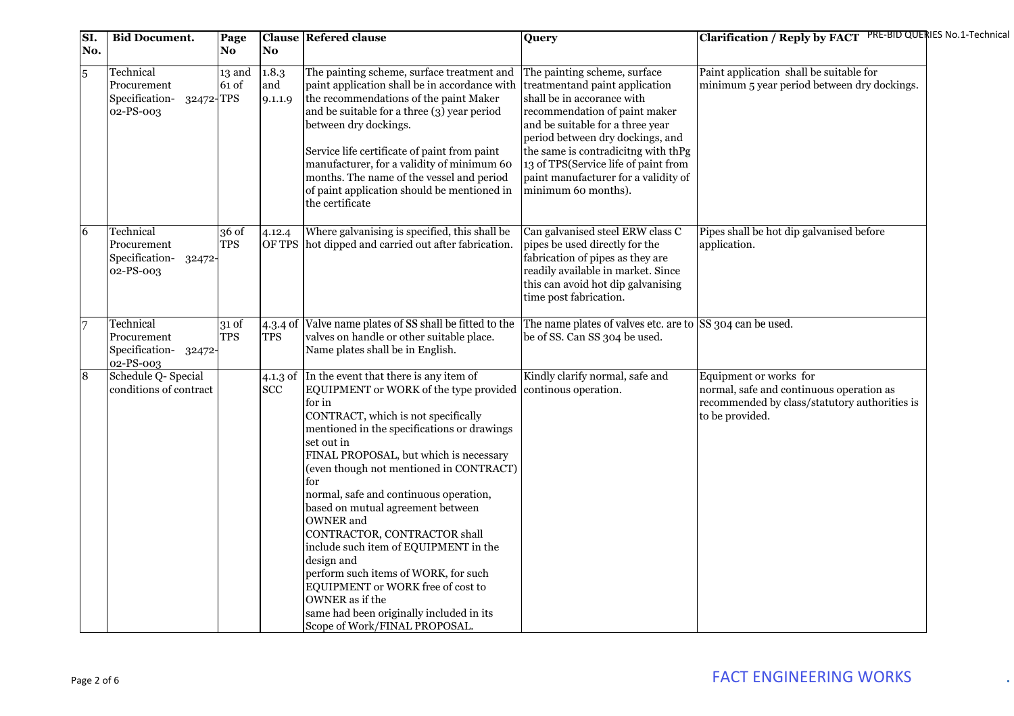| SI.<br>No.     | <b>Bid Document.</b>                                                 | Page<br>No          | No.                      | <b>Clause Refered clause</b>                                                                                                                                                                                                                                                                                                                                                                                                                                                                                                                                                                                                                               | Query                                                                                                                                                                                                                                                                                                                                               | Clarification / Reply by FACT PRE-BID QUERIES No.1-Technical                                                                           |  |
|----------------|----------------------------------------------------------------------|---------------------|--------------------------|------------------------------------------------------------------------------------------------------------------------------------------------------------------------------------------------------------------------------------------------------------------------------------------------------------------------------------------------------------------------------------------------------------------------------------------------------------------------------------------------------------------------------------------------------------------------------------------------------------------------------------------------------------|-----------------------------------------------------------------------------------------------------------------------------------------------------------------------------------------------------------------------------------------------------------------------------------------------------------------------------------------------------|----------------------------------------------------------------------------------------------------------------------------------------|--|
| $\overline{5}$ | Technical<br>Procurement<br>32472-TPS<br>Specification-<br>02-PS-003 | 13 and<br>61 of     | 1.8.3<br>and<br>9.1.1.9  | The painting scheme, surface treatment and<br>paint application shall be in accordance with<br>the recommendations of the paint Maker<br>and be suitable for a three (3) year period<br>between dry dockings.<br>Service life certificate of paint from paint<br>manufacturer, for a validity of minimum 60<br>months. The name of the vessel and period<br>of paint application should be mentioned in<br>the certificate                                                                                                                                                                                                                                 | The painting scheme, surface<br>treatmentand paint application<br>shall be in accorance with<br>recommendation of paint maker<br>and be suitable for a three year<br>period between dry dockings, and<br>the same is contradicitng with thPg<br>13 of TPS(Service life of paint from<br>paint manufacturer for a validity of<br>minimum 60 months). | Paint application shall be suitable for<br>minimum 5 year period between dry dockings.                                                 |  |
| 6              | Technical<br>Procurement<br>Specification-<br>32472<br>02-PS-003     | 36 of<br><b>TPS</b> | 4.12.4                   | Where galvanising is specified, this shall be<br>OF TPS hot dipped and carried out after fabrication.                                                                                                                                                                                                                                                                                                                                                                                                                                                                                                                                                      | Can galvanised steel ERW class C<br>pipes be used directly for the<br>fabrication of pipes as they are<br>readily available in market. Since<br>this can avoid hot dip galvanising<br>time post fabrication.                                                                                                                                        | Pipes shall be hot dip galvanised before<br>application.                                                                               |  |
| $\overline{7}$ | Technical<br>Procurement<br>Specification-<br>32472-<br>02-PS-003    | 31 of<br><b>TPS</b> | $4.3.4$ of<br><b>TPS</b> | Valve name plates of SS shall be fitted to the<br>valves on handle or other suitable place.<br>Name plates shall be in English.                                                                                                                                                                                                                                                                                                                                                                                                                                                                                                                            | The name plates of valves etc. are to SS 304 can be used.<br>be of SS. Can SS 304 be used.                                                                                                                                                                                                                                                          |                                                                                                                                        |  |
| $\overline{8}$ | Schedule Q- Special<br>conditions of contract                        |                     | 4.1.3 of<br><b>SCC</b>   | In the event that there is any item of<br>EQUIPMENT or WORK of the type provided<br>for in<br>CONTRACT, which is not specifically<br>mentioned in the specifications or drawings<br>set out in<br>FINAL PROPOSAL, but which is necessary<br>(even though not mentioned in CONTRACT)<br>for<br>normal, safe and continuous operation,<br>based on mutual agreement between<br>OWNER and<br>CONTRACTOR, CONTRACTOR shall<br>include such item of EQUIPMENT in the<br>design and<br>perform such items of WORK, for such<br>EQUIPMENT or WORK free of cost to<br>OWNER as if the<br>same had been originally included in its<br>Scope of Work/FINAL PROPOSAL. | Kindly clarify normal, safe and<br>continous operation.                                                                                                                                                                                                                                                                                             | Equipment or works for<br>normal, safe and continuous operation as<br>recommended by class/statutory authorities is<br>to be provided. |  |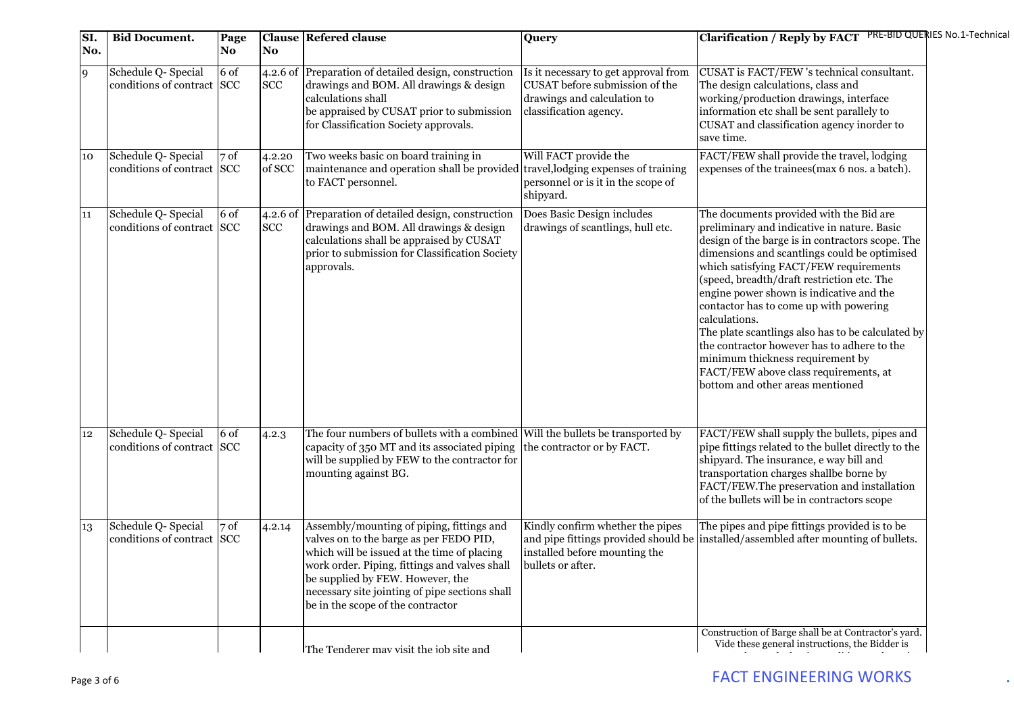| SI.<br>No. | <b>Bid Document.</b>                              | Page<br>No. | No                       | <b>Clause Refered clause</b>                                                                                                                                                                                                                                                                                    | Query                                                                                                                           | Clarification / Reply by FACT PRE-BID QUERIES No.1-Technical                                                                                                                                                                                                                                                                                                                                                                                                                                                                                                                                                   |  |
|------------|---------------------------------------------------|-------------|--------------------------|-----------------------------------------------------------------------------------------------------------------------------------------------------------------------------------------------------------------------------------------------------------------------------------------------------------------|---------------------------------------------------------------------------------------------------------------------------------|----------------------------------------------------------------------------------------------------------------------------------------------------------------------------------------------------------------------------------------------------------------------------------------------------------------------------------------------------------------------------------------------------------------------------------------------------------------------------------------------------------------------------------------------------------------------------------------------------------------|--|
| 9          | Schedule Q- Special<br>conditions of contract SCC | 6 of        | <b>SCC</b>               | 4.2.6 of Preparation of detailed design, construction<br>drawings and BOM. All drawings & design<br>calculations shall<br>be appraised by CUSAT prior to submission<br>for Classification Society approvals.                                                                                                    | Is it necessary to get approval from<br>CUSAT before submission of the<br>drawings and calculation to<br>classification agency. | CUSAT is FACT/FEW 's technical consultant.<br>The design calculations, class and<br>working/production drawings, interface<br>information etc shall be sent parallely to<br>CUSAT and classification agency inorder to<br>save time.                                                                                                                                                                                                                                                                                                                                                                           |  |
| 10         | Schedule Q- Special<br>conditions of contract SCC | 7 of        | 4.2.20<br>of SCC         | Two weeks basic on board training in<br>maintenance and operation shall be provided travel, lodging expenses of training<br>to FACT personnel.                                                                                                                                                                  | Will FACT provide the<br>personnel or is it in the scope of<br>shipyard.                                                        | FACT/FEW shall provide the travel, lodging<br>expenses of the trainees(max 6 nos. a batch).                                                                                                                                                                                                                                                                                                                                                                                                                                                                                                                    |  |
| 11         | Schedule Q- Special<br>conditions of contract SCC | 6 of        | $4.2.6$ of<br><b>SCC</b> | Preparation of detailed design, construction<br>drawings and BOM. All drawings & design<br>calculations shall be appraised by CUSAT<br>prior to submission for Classification Society<br>approvals.                                                                                                             | Does Basic Design includes<br>drawings of scantlings, hull etc.                                                                 | The documents provided with the Bid are<br>preliminary and indicative in nature. Basic<br>design of the barge is in contractors scope. The<br>dimensions and scantlings could be optimised<br>which satisfying FACT/FEW requirements<br>(speed, breadth/draft restriction etc. The<br>engine power shown is indicative and the<br>contactor has to come up with powering<br>calculations.<br>The plate scantlings also has to be calculated by<br>the contractor however has to adhere to the<br>minimum thickness requirement by<br>FACT/FEW above class requirements, at<br>bottom and other areas mentioned |  |
| 12         | Schedule Q- Special<br>conditions of contract SCC | 6 of        | 4.2.3                    | The four numbers of bullets with a combined Will the bullets be transported by<br>capacity of 350 MT and its associated piping<br>will be supplied by FEW to the contractor for<br>mounting against BG.                                                                                                         | the contractor or by FACT.                                                                                                      | FACT/FEW shall supply the bullets, pipes and<br>pipe fittings related to the bullet directly to the<br>shipyard. The insurance, e way bill and<br>transportation charges shallbe borne by<br>FACT/FEW.The preservation and installation<br>of the bullets will be in contractors scope                                                                                                                                                                                                                                                                                                                         |  |
| 13         | Schedule Q- Special<br>conditions of contract SCC | 7 of        | 4.2.14                   | Assembly/mounting of piping, fittings and<br>valves on to the barge as per FEDO PID,<br>which will be issued at the time of placing<br>work order. Piping, fittings and valves shall<br>be supplied by FEW. However, the<br>necessary site jointing of pipe sections shall<br>be in the scope of the contractor | Kindly confirm whether the pipes<br>installed before mounting the<br>bullets or after.                                          | The pipes and pipe fittings provided is to be<br>and pipe fittings provided should be installed/assembled after mounting of bullets.                                                                                                                                                                                                                                                                                                                                                                                                                                                                           |  |
|            |                                                   |             |                          | The Tenderer mav visit the iob site and                                                                                                                                                                                                                                                                         |                                                                                                                                 | Construction of Barge shall be at Contractor's yard.<br>Vide these general instructions, the Bidder is                                                                                                                                                                                                                                                                                                                                                                                                                                                                                                         |  |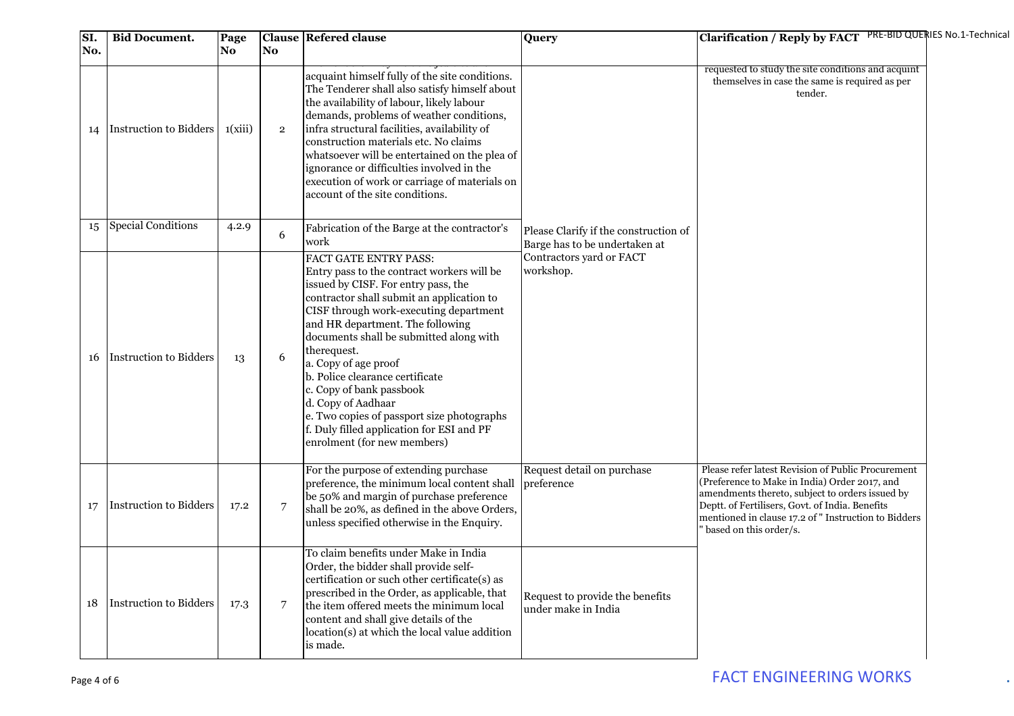| SI.<br>No. | <b>Bid Document.</b>   | Page<br>No. | No.            | <b>Clause Refered clause</b>                                                                                                                                                                                                                                                                                                                                                                                                                                                                                                           | Query                                                                  | Clarification / Reply by FACT PRE-BID QUERIES No.1-Technical                                                                                                                                                                                                                                |                                                    |
|------------|------------------------|-------------|----------------|----------------------------------------------------------------------------------------------------------------------------------------------------------------------------------------------------------------------------------------------------------------------------------------------------------------------------------------------------------------------------------------------------------------------------------------------------------------------------------------------------------------------------------------|------------------------------------------------------------------------|---------------------------------------------------------------------------------------------------------------------------------------------------------------------------------------------------------------------------------------------------------------------------------------------|----------------------------------------------------|
| 14         | Instruction to Bidders | 1(xiii)     | $\overline{2}$ | acquaint himself fully of the site conditions.<br>The Tenderer shall also satisfy himself about<br>the availability of labour, likely labour<br>demands, problems of weather conditions,<br>infra structural facilities, availability of<br>construction materials etc. No claims<br>whatsoever will be entertained on the plea of<br>ignorance or difficulties involved in the<br>execution of work or carriage of materials on<br>account of the site conditions.                                                                    |                                                                        | themselves in case the same is required as per<br>tender.                                                                                                                                                                                                                                   | requested to study the site conditions and acquint |
| 15         | Special Conditions     | 4.2.9       | 6              | Fabrication of the Barge at the contractor's<br>work                                                                                                                                                                                                                                                                                                                                                                                                                                                                                   | Please Clarify if the construction of<br>Barge has to be undertaken at |                                                                                                                                                                                                                                                                                             |                                                    |
| 16         | Instruction to Bidders | 13          | 6              | FACT GATE ENTRY PASS:<br>Entry pass to the contract workers will be<br>issued by CISF. For entry pass, the<br>contractor shall submit an application to<br>CISF through work-executing department<br>and HR department. The following<br>documents shall be submitted along with<br>therequest.<br>a. Copy of age proof<br>b. Police clearance certificate<br>c. Copy of bank passbook<br>d. Copy of Aadhaar<br>e. Two copies of passport size photographs<br>f. Duly filled application for ESI and PF<br>enrolment (for new members) | Contractors yard or FACT<br>workshop.                                  |                                                                                                                                                                                                                                                                                             |                                                    |
| 17         | Instruction to Bidders | 17.2        | $\overline{7}$ | For the purpose of extending purchase<br>preference, the minimum local content shall<br>be 50% and margin of purchase preference<br>shall be 20%, as defined in the above Orders,<br>unless specified otherwise in the Enquiry.                                                                                                                                                                                                                                                                                                        | Request detail on purchase<br>preference                               | Please refer latest Revision of Public Procurement<br>(Preference to Make in India) Order 2017, and<br>amendments thereto, subject to orders issued by<br>Deptt. of Fertilisers, Govt. of India. Benefits<br>mentioned in clause 17.2 of " Instruction to Bidders<br>based on this order/s. |                                                    |
| 18         | Instruction to Bidders | 17.3        | 7              | To claim benefits under Make in India<br>Order, the bidder shall provide self-<br>certification or such other certificate(s) as<br>prescribed in the Order, as applicable, that<br>the item offered meets the minimum local<br>content and shall give details of the<br>location(s) at which the local value addition<br>is made.                                                                                                                                                                                                      | Request to provide the benefits<br>under make in India                 |                                                                                                                                                                                                                                                                                             |                                                    |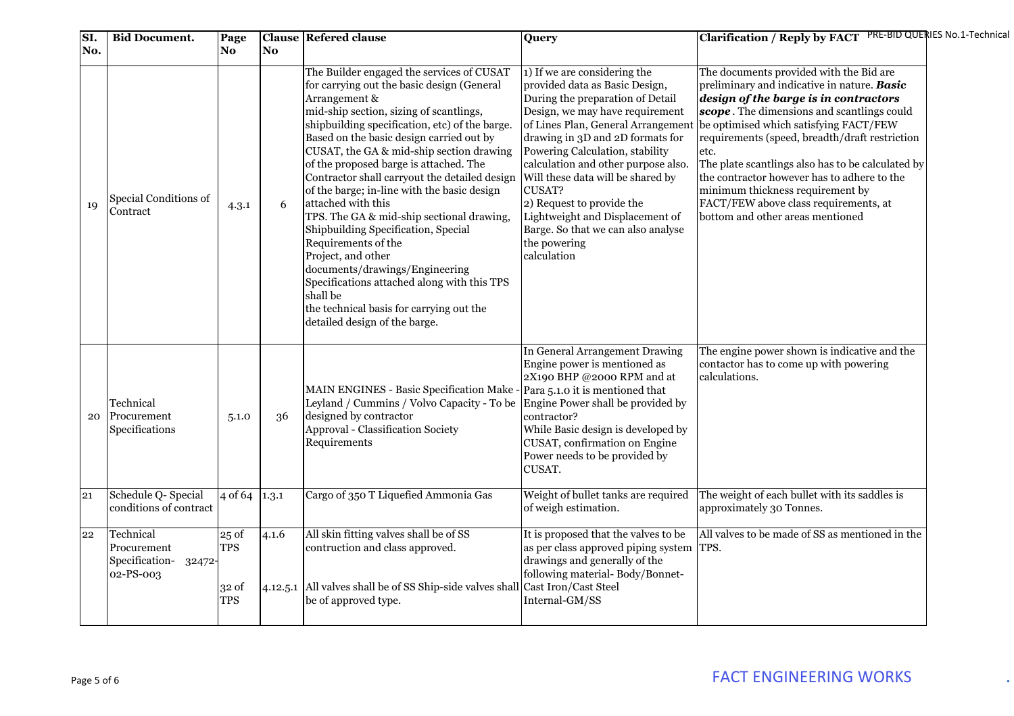| SI. | <b>Bid Document.</b>                                             | Page                                                 |       | <b>Clause Refered clause</b>                                                                                                                                                                                                                                                                                                                                                                                                                                                                                                                                                                                                                                                                                                                                             | Query                                                                                                                                                                                                                                                                                                                                                                                                                                                                        | Clarification / Reply by FACT PRE-BID QUERIES No.1-Technical                                                                                                                                                                                                                                                                                                                                                                                                                                           |  |
|-----|------------------------------------------------------------------|------------------------------------------------------|-------|--------------------------------------------------------------------------------------------------------------------------------------------------------------------------------------------------------------------------------------------------------------------------------------------------------------------------------------------------------------------------------------------------------------------------------------------------------------------------------------------------------------------------------------------------------------------------------------------------------------------------------------------------------------------------------------------------------------------------------------------------------------------------|------------------------------------------------------------------------------------------------------------------------------------------------------------------------------------------------------------------------------------------------------------------------------------------------------------------------------------------------------------------------------------------------------------------------------------------------------------------------------|--------------------------------------------------------------------------------------------------------------------------------------------------------------------------------------------------------------------------------------------------------------------------------------------------------------------------------------------------------------------------------------------------------------------------------------------------------------------------------------------------------|--|
| No. |                                                                  | No.                                                  | No    |                                                                                                                                                                                                                                                                                                                                                                                                                                                                                                                                                                                                                                                                                                                                                                          |                                                                                                                                                                                                                                                                                                                                                                                                                                                                              |                                                                                                                                                                                                                                                                                                                                                                                                                                                                                                        |  |
| 19  | Special Conditions of<br>Contract                                | 4.3.1                                                | 6     | The Builder engaged the services of CUSAT<br>for carrying out the basic design (General<br>Arrangement &<br>mid-ship section, sizing of scantlings,<br>shipbuilding specification, etc) of the barge.<br>Based on the basic design carried out by<br>CUSAT, the GA & mid-ship section drawing<br>of the proposed barge is attached. The<br>Contractor shall carryout the detailed design<br>of the barge; in-line with the basic design<br>attached with this<br>TPS. The GA & mid-ship sectional drawing,<br>Shipbuilding Specification, Special<br>Requirements of the<br>Project, and other<br>documents/drawings/Engineering<br>Specifications attached along with this TPS<br>shall be<br>the technical basis for carrying out the<br>detailed design of the barge. | 1) If we are considering the<br>provided data as Basic Design,<br>During the preparation of Detail<br>Design, we may have requirement<br>of Lines Plan, General Arrangemen<br>drawing in 3D and 2D formats for<br>Powering Calculation, stability<br>calculation and other purpose also.<br>Will these data will be shared by<br>CUSAT?<br>2) Request to provide the<br>Lightweight and Displacement of<br>Barge. So that we can also analyse<br>the powering<br>calculation | The documents provided with the Bid are<br>preliminary and indicative in nature. Basic<br>design of the barge is in contractors<br>scope. The dimensions and scantlings could<br>be optimised which satisfying FACT/FEW<br>requirements (speed, breadth/draft restriction<br>etc.<br>The plate scantlings also has to be calculated by<br>the contractor however has to adhere to the<br>minimum thickness requirement by<br>FACT/FEW above class requirements, at<br>bottom and other areas mentioned |  |
| 20  | Technical<br>Procurement<br>Specifications                       | 5.1.0                                                | 36    | MAIN ENGINES - Basic Specification Make - Para 5.1.0 it is mentioned that<br>Leyland / Cummins / Volvo Capacity - To be<br>designed by contractor<br>Approval - Classification Society<br>Requirements                                                                                                                                                                                                                                                                                                                                                                                                                                                                                                                                                                   | In General Arrangement Drawing<br>Engine power is mentioned as<br>2X190 BHP @2000 RPM and at<br>Engine Power shall be provided by<br>contractor?<br>While Basic design is developed by<br>CUSAT, confirmation on Engine<br>Power needs to be provided by<br>CUSAT.                                                                                                                                                                                                           | The engine power shown is indicative and the<br>contactor has to come up with powering<br>calculations.                                                                                                                                                                                                                                                                                                                                                                                                |  |
| 21  | Schedule Q- Special<br>conditions of contract                    | 4 of 64                                              | 1.3.1 | Cargo of 350 T Liquefied Ammonia Gas                                                                                                                                                                                                                                                                                                                                                                                                                                                                                                                                                                                                                                                                                                                                     | Weight of bullet tanks are required<br>of weigh estimation.                                                                                                                                                                                                                                                                                                                                                                                                                  | The weight of each bullet with its saddles is<br>approximately 30 Tonnes.                                                                                                                                                                                                                                                                                                                                                                                                                              |  |
| 22  | Technical<br>Procurement<br>Specification-<br>32472<br>02-PS-003 | 25 <sub>o</sub><br><b>TPS</b><br>32 of<br><b>TPS</b> | 4.1.6 | All skin fitting valves shall be of SS<br>contruction and class approved.<br>4.12.5.1 All valves shall be of SS Ship-side valves shall Cast Iron/Cast Steel<br>be of approved type.                                                                                                                                                                                                                                                                                                                                                                                                                                                                                                                                                                                      | It is proposed that the valves to be<br>as per class approved piping system TPS.<br>drawings and generally of the<br>following material-Body/Bonnet-<br>Internal-GM/SS                                                                                                                                                                                                                                                                                                       | All valves to be made of SS as mentioned in the                                                                                                                                                                                                                                                                                                                                                                                                                                                        |  |